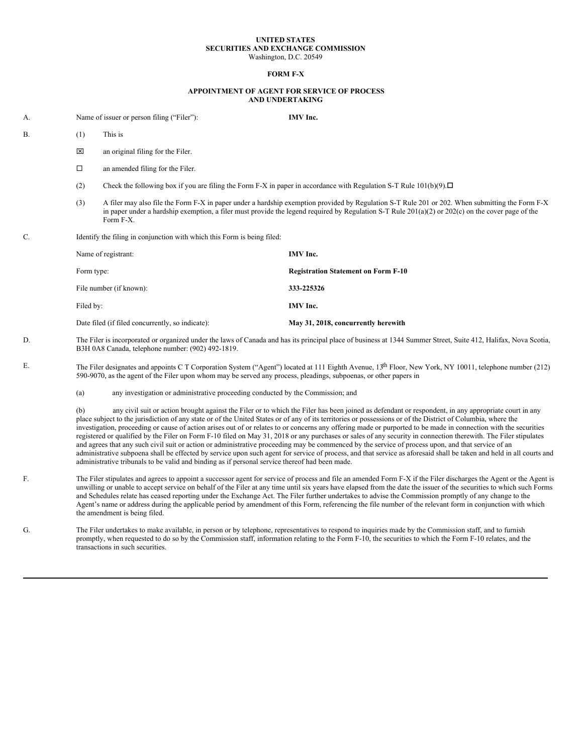## **UNITED STATES SECURITIES AND EXCHANGE COMMISSION** Washington, D.C. 20549

## **FORM F-X**

## **APPOINTMENT OF AGENT FOR SERVICE OF PROCESS AND UNDERTAKING**

A. Name of issuer or person filing ("Filer"): **IMV Inc.**

- $B.$  (1) This is
	- $\boxtimes$  an original filing for the Filer.
	- $\Box$  an amended filing for the Filer.
	- (2) Check the following box if you are filing the Form F-X in paper in accordance with Regulation S-T Rule  $101(b)(9)$ .  $\Box$
	- (3) A filer may also file the Form F-X in paper under a hardship exemption provided by Regulation S-T Rule 201 or 202. When submitting the Form F-X in paper under a hardship exemption, a filer must provide the legend required by Regulation S-T Rule 201(a)(2) or 202(c) on the cover page of the Form F-X.
- C. Identify the filing in conjunction with which this Form is being filed:

| Name of registrant:                              | IMV Inc.                                   |
|--------------------------------------------------|--------------------------------------------|
| Form type:                                       | <b>Registration Statement on Form F-10</b> |
| File number (if known):                          | 333-225326                                 |
| Filed by:                                        | IMV Inc.                                   |
| Date filed (if filed concurrently, so indicate): | May 31, 2018, concurrently herewith        |

- D. The Filer is incorporated or organized under the laws of Canada and has its principal place of business at 1344 Summer Street, Suite 412, Halifax, Nova Scotia, B3H 0A8 Canada, telephone number: (902) 492-1819.
- E. The Filer designates and appoints C T Corporation System ("Agent") located at 111 Eighth Avenue,  $13<sup>th</sup>$  Floor, New York, NY 10011, telephone number (212) 590-9070, as the agent of the Filer upon whom may be served any process, pleadings, subpoenas, or other papers in
	- (a) any investigation or administrative proceeding conducted by the Commission; and

(b) any civil suit or action brought against the Filer or to which the Filer has been joined as defendant or respondent, in any appropriate court in any place subject to the jurisdiction of any state or of the United States or of any of its territories or possessions or of the District of Columbia, where the investigation, proceeding or cause of action arises out of or relates to or concerns any offering made or purported to be made in connection with the securities registered or qualified by the Filer on Form F-10 filed on May 31, 2018 or any purchases or sales of any security in connection therewith. The Filer stipulates and agrees that any such civil suit or action or administrative proceeding may be commenced by the service of process upon, and that service of an administrative subpoena shall be effected by service upon such agent for service of process, and that service as aforesaid shall be taken and held in all courts and administrative tribunals to be valid and binding as if personal service thereof had been made.

- F. The Filer stipulates and agrees to appoint a successor agent for service of process and file an amended Form F-X if the Filer discharges the Agent or the Agent is unwilling or unable to accept service on behalf of the Filer at any time until six years have elapsed from the date the issuer of the securities to which such Forms and Schedules relate has ceased reporting under the Exchange Act. The Filer further undertakes to advise the Commission promptly of any change to the Agent's name or address during the applicable period by amendment of this Form, referencing the file number of the relevant form in conjunction with which the amendment is being filed.
- G. The Filer undertakes to make available, in person or by telephone, representatives to respond to inquiries made by the Commission staff, and to furnish promptly, when requested to do so by the Commission staff, information relating to the Form F-10, the securities to which the Form F-10 relates, and the transactions in such securities.